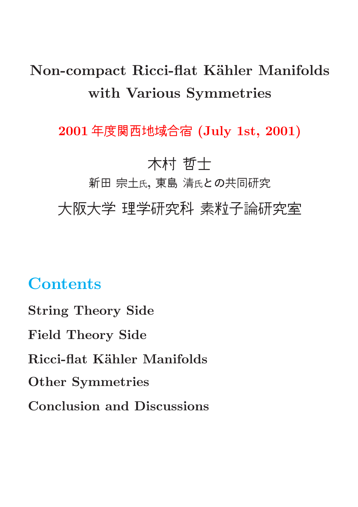# Non-compact Ricci-flat Kähler Manifolds with Various Symmetries

2001 年度関西地域合宿 (July 1st, 2001)

### 木村 哲士

新田宗土氏, 東島清氏との共同研究

大阪大学 理学研究科 素粒子論研究室

## **Contents**

String Theory Side Field Theory Side Ricci-flat Kähler Manifolds Other Symmetries Conclusion and Discussions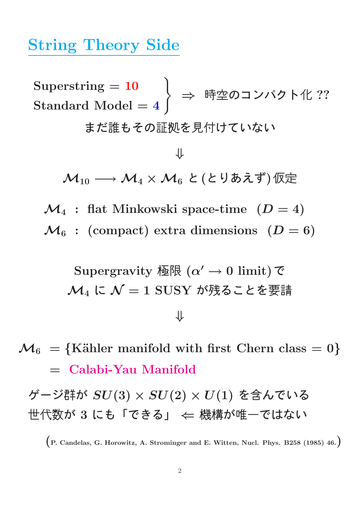### String Theory Side

 $\text{Superstring} = 10$  $\mathrm{Standard\ Model} = 4$ ) ⇒ 時空のコンパクト化 ??

まだ誰もその証拠を見付けていない

⇓  $\mathcal{M}_{10} \longrightarrow \mathcal{M}_4 \times \mathcal{M}_6$  と(とりあえず)仮定

- $\mathcal{M}_4$ : flat Minkowski space-time  $(D = 4)$
- $\mathcal{M}_6$  : (compact) extra dimensions  $(D = 6)$

Supersravity 矮限 (α' → 0 limit) で

\n
$$
\mathcal{M}_4
$$
 に  $\mathcal{N} = 1$  SUSY が残ることを要語

 $\mathcal{M}_6$  = {Kähler manifold with first Chern class = 0} = Calabi-Yau Manifold

ゲージ群が  $SU(3)\times SU(2)\times U(1)$  を含んでいる 世代数が 3 にも「できる」 ← 機構が唯一ではない

(P. Candelas, G. Horowitz, A. Strominger and E. Witten, Nucl. Phys. B258 (1985) 46.)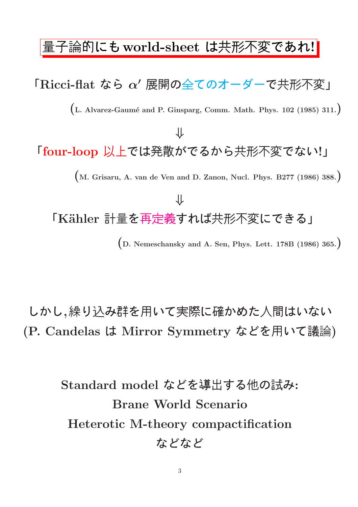### 量子論的にも world-sheet は共形不変であれ!

# $\mathsf{FRicci\text{-}flat}$ なら  $\alpha'$  展開の全てのオーダーで共形不変」  $(L.$  Alvarez-Gaumé and P. Ginsparg, Comm. Math. Phys. 102 (1985) 311.) ⇓ 「four-loop 以上では発散がでるから共形不変でない!」 (M. Grisaru, A. van de Ven and D. Zanon, Nucl. Phys. B277 (1986) 388.) ⇓ 「Kähler 計量を再定義すれば共形不変にできる」 (D. Nemeschansky and A. Sen, Phys. Lett. 178B (1986) 365.)

しかし,繰り込み群を用いて実際に確かめた人間はいない (P. Candelas は Mirror Symmetry などを用いて議論)

> Standard model などを導出する他の試み: Brane World Scenario Heterotic M-theory compactification などなど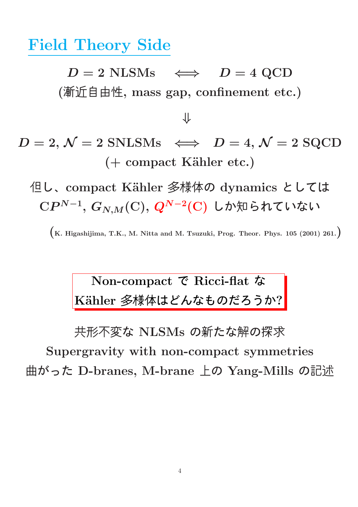Field Theory Side

 $D = 2$  NLSMs  $\iff$   $D = 4$  QCD (漸近自由性, mass gap, confinement etc.)

⇓

 $D = 2, \mathcal{N} = 2$  SNLSMs  $\iff D = 4, \mathcal{N} = 2$  SQCD  $( +$  compact Kähler etc.)

但し、compact Kähler 多様体の dynamics としては  ${\rm C}P^{N-1},\,G_{N,M}({\rm C}),\,Q^{N-2}({\rm C})$  しか知られていない

 $(K. Higashijima, T.K., M. Nitta and M. Tsuzuki, Prog. Theor. Phys. 105 (2001) 261.$ 

## Non-compact で Ricci-flat な Kähler 多様体はどんなものだろうか?

共形不変な NLSMs の新たな解の探求

Supergravity with non-compact symmetries 曲がった D-branes, M-brane 上の Yang-Mills の記述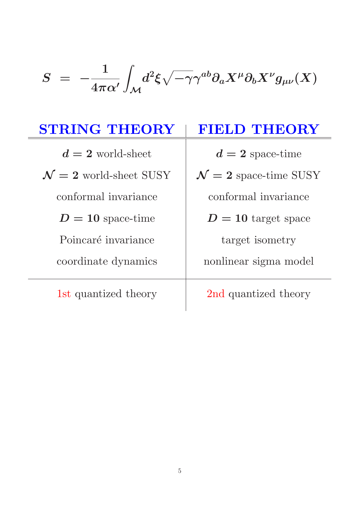#### $S = -$ 1  $4\pi\alpha'$ Z  $\mathcal M$  $d^2\xi\sqrt{-\gamma}\gamma^{ab}\partial_aX^\mu\partial_bX^\nu g_{\mu\nu}(X)$

| <b>STRING THEORY</b>             | <b>FIELD THEORY</b>             |
|----------------------------------|---------------------------------|
| $d=2$ world-sheet                | $d=2$ space-time                |
| $\mathcal{N}=2$ world-sheet SUSY | $\mathcal{N}=2$ space-time SUSY |
| conformal invariance             | conformal invariance            |
| $D=10$ space-time                | $D=10$ target space             |
| Poincaré invariance              | target isometry                 |
| coordinate dynamics              | nonlinear sigma model           |
| 1st quantized theory             | 2nd quantized theory            |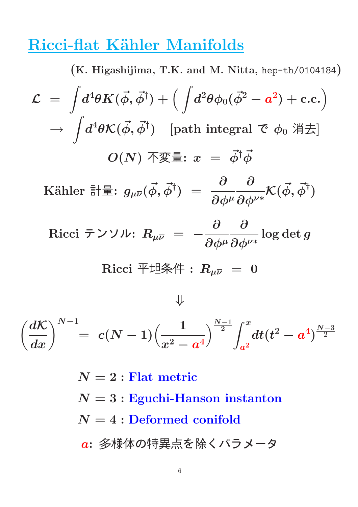### Ricci-flat Kähler Manifolds

(K. Higashijima, T.K. and M. Nitta, hep-th/0104184)  ${\cal L}$  = Z  $d^4\theta K(\vec{\phi},\vec{\phi}^\dagger)+\Big( \ \int\!d^2\theta \phi_0(\vec{\phi}^2-a^2)+\text{c.c.}\Big)$  $\rightarrow$ Z  $d^4\theta \mathcal{K}(\vec{\phi},\vec{\phi}^\dagger) \quad \text{[path integral~}$ で  $\phi_0$  消去]  $O(N)$  不変量:  $x = \vec{\phi}^{\dagger} \vec{\phi}$ Kähler 計量:  $g_{\mu \overline{\nu}}(\vec{\phi},\vec{\phi}^{\dagger})~=~\frac{\partial}{\partial \nu}$  $\partial\phi^\mu$ **∂**  $\partial\phi^{\nu*}$  $\mathcal{K}(\vec{\phi},\vec{\phi}^{\dagger})$  $\rm Ricci$  テンソル:  $R_{\mu \overline{\nu}}~=~-$ **∂**  $\partial\phi^\mu$ **∂**  $\partial\phi^{\nu*}$  $\log \det g$ Ricci 平坦条件 :  $R_{\mu\nu} = 0$ ⇓

$$
\left(\frac{d\mathcal{K}}{dx}\right)^{N-1} = \; c(N-1)\Big(\frac{1}{x^2-a^4}\Big)^{\frac{N-1}{2}} \int_{a^2}^x \! dt (t^2-a^4)^{\frac{N-3}{2}}
$$

 $N=2$ : Flat metric  $N = 3:$  Eguchi-Hanson instanton  $N = 4$ : Deformed conifold a: 多様体の特異点を除くパラメータ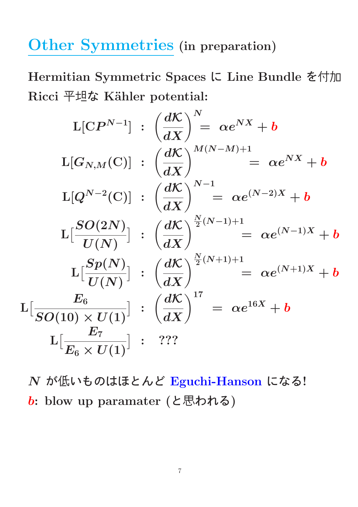# Other Symmetries (in preparation)

Hermitian Symmetric Spaces に Line Bundle を付加 Ricci 平坦な Kähler potential:

$$
L[CP^{N-1}] : \left(\frac{dK}{dX}\right)^N = \alpha e^{NX} + b
$$
\n
$$
L[G_{N,M}(C)] : \left(\frac{dK}{dX}\right)^{M(N-M)+1} = \alpha e^{NX} + b
$$
\n
$$
L[Q^{N-2}(C)] : \left(\frac{dK}{dX}\right)^{N-1} = \alpha e^{(N-2)X} + b
$$
\n
$$
L\left[\frac{SO(2N)}{U(N)}\right] : \left(\frac{dK}{dX}\right)^{\frac{N}{2}(N-1)+1} = \alpha e^{(N-1)X} + b
$$
\n
$$
L\left[\frac{Sp(N)}{U(N)}\right] : \left(\frac{dK}{dX}\right)^{\frac{N}{2}(N+1)+1} = \alpha e^{(N+1)X} + b
$$
\n
$$
L\left[\frac{E_6}{SO(10) \times U(1)}\right] : \left(\frac{dK}{dX}\right)^{17} = \alpha e^{16X} + b
$$
\n
$$
L\left[\frac{E_7}{E_6 \times U(1)}\right] : ? ? ?
$$

N が低いものはほとんど Eguchi-Hanson になる! b: blow up paramater (と思われる)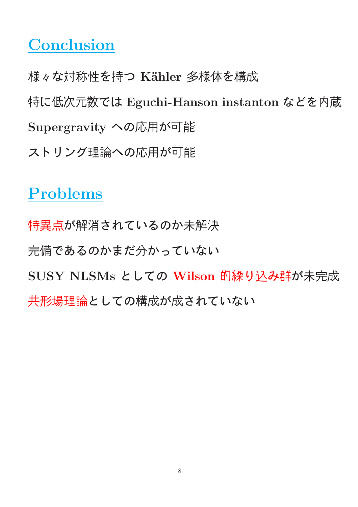### **Conclusion**

様々な対称性を持つ Kähler 多様体を構成 特に低次元数では Eguchi-Hanson instanton などを内蔵 Supergravity への応用が可能 ストリング理論への応用が可能

# Problems

特異点が解消されているのか未解決 完備であるのかまだ分かっていない SUSY NLSMs としての Wilson 的繰り込み群が未完成 共形場理論としての構成が成されていない